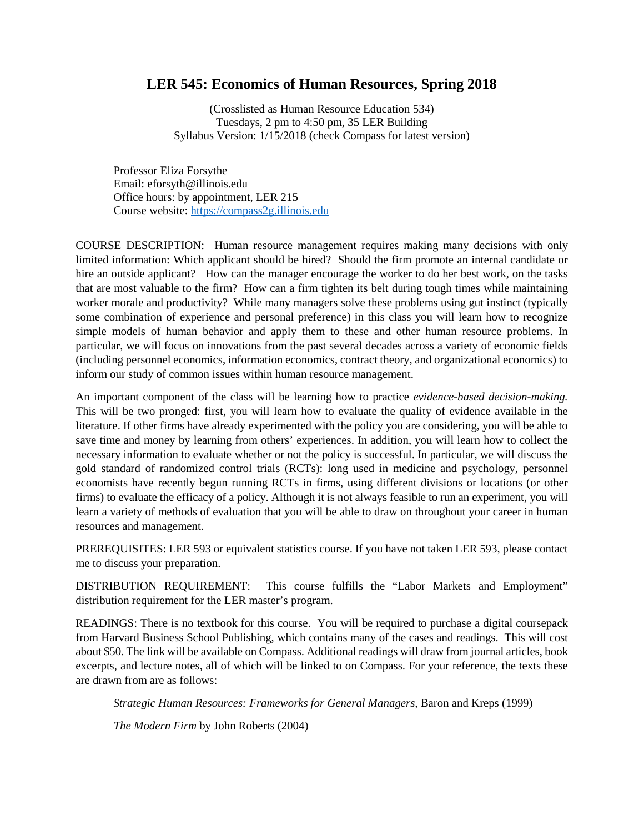## **LER 545: Economics of Human Resources, Spring 2018**

(Crosslisted as Human Resource Education 534) Tuesdays, 2 pm to 4:50 pm, 35 LER Building Syllabus Version: 1/15/2018 (check Compass for latest version)

Professor Eliza Forsythe Email: eforsyth@illinois.edu Office hours: by appointment, LER 215 Course website: [https://compass2g.illinois.edu](https://compass2g.illinois.edu/)

COURSE DESCRIPTION: Human resource management requires making many decisions with only limited information: Which applicant should be hired? Should the firm promote an internal candidate or hire an outside applicant? How can the manager encourage the worker to do her best work, on the tasks that are most valuable to the firm? How can a firm tighten its belt during tough times while maintaining worker morale and productivity? While many managers solve these problems using gut instinct (typically some combination of experience and personal preference) in this class you will learn how to recognize simple models of human behavior and apply them to these and other human resource problems. In particular, we will focus on innovations from the past several decades across a variety of economic fields (including personnel economics, information economics, contract theory, and organizational economics) to inform our study of common issues within human resource management.

An important component of the class will be learning how to practice *evidence-based decision-making.*  This will be two pronged: first, you will learn how to evaluate the quality of evidence available in the literature. If other firms have already experimented with the policy you are considering, you will be able to save time and money by learning from others' experiences. In addition, you will learn how to collect the necessary information to evaluate whether or not the policy is successful. In particular, we will discuss the gold standard of randomized control trials (RCTs): long used in medicine and psychology, personnel economists have recently begun running RCTs in firms, using different divisions or locations (or other firms) to evaluate the efficacy of a policy. Although it is not always feasible to run an experiment, you will learn a variety of methods of evaluation that you will be able to draw on throughout your career in human resources and management.

PREREQUISITES: LER 593 or equivalent statistics course. If you have not taken LER 593, please contact me to discuss your preparation.

DISTRIBUTION REQUIREMENT: This course fulfills the "Labor Markets and Employment" distribution requirement for the LER master's program.

READINGS: There is no textbook for this course. You will be required to purchase a digital coursepack from Harvard Business School Publishing, which contains many of the cases and readings. This will cost about \$50. The link will be available on Compass. Additional readings will draw from journal articles, book excerpts, and lecture notes, all of which will be linked to on Compass. For your reference, the texts these are drawn from are as follows:

*Strategic Human Resources: Frameworks for General Managers,* Baron and Kreps (1999)

*The Modern Firm* by John Roberts (2004)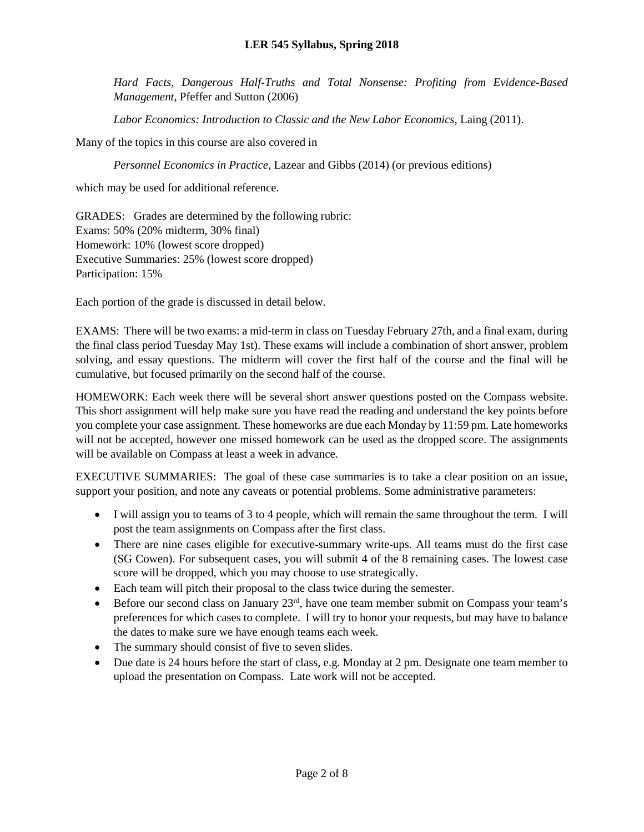*Hard Facts, Dangerous Half-Truths and Total Nonsense: Profiting from Evidence-Based Management*, Pfeffer and Sutton (2006)

*Labor Economics: Introduction to Classic and the New Labor Economics*, Laing (2011).

Many of the topics in this course are also covered in

*Personnel Economics in Practice,* Lazear and Gibbs (2014) (or previous editions)

which may be used for additional reference.

GRADES: Grades are determined by the following rubric: Exams: 50% (20% midterm, 30% final) Homework: 10% (lowest score dropped) Executive Summaries: 25% (lowest score dropped) Participation: 15%

Each portion of the grade is discussed in detail below.

EXAMS: There will be two exams: a mid-term in class on Tuesday February 27th, and a final exam, during the final class period Tuesday May 1st). These exams will include a combination of short answer, problem solving, and essay questions. The midterm will cover the first half of the course and the final will be cumulative, but focused primarily on the second half of the course.

HOMEWORK: Each week there will be several short answer questions posted on the Compass website. This short assignment will help make sure you have read the reading and understand the key points before you complete your case assignment. These homeworks are due each Monday by 11:59 pm. Late homeworks will not be accepted, however one missed homework can be used as the dropped score. The assignments will be available on Compass at least a week in advance.

EXECUTIVE SUMMARIES: The goal of these case summaries is to take a clear position on an issue, support your position, and note any caveats or potential problems. Some administrative parameters:

- I will assign you to teams of 3 to 4 people, which will remain the same throughout the term. I will post the team assignments on Compass after the first class.
- There are nine cases eligible for executive-summary write-ups. All teams must do the first case (SG Cowen). For subsequent cases, you will submit 4 of the 8 remaining cases. The lowest case score will be dropped, which you may choose to use strategically.
- Each team will pitch their proposal to the class twice during the semester.
- Before our second class on January  $23<sup>rd</sup>$ , have one team member submit on Compass your team's preferences for which cases to complete. I will try to honor your requests, but may have to balance the dates to make sure we have enough teams each week.
- The summary should consist of five to seven slides.
- Due date is 24 hours before the start of class, e.g. Monday at 2 pm. Designate one team member to upload the presentation on Compass. Late work will not be accepted.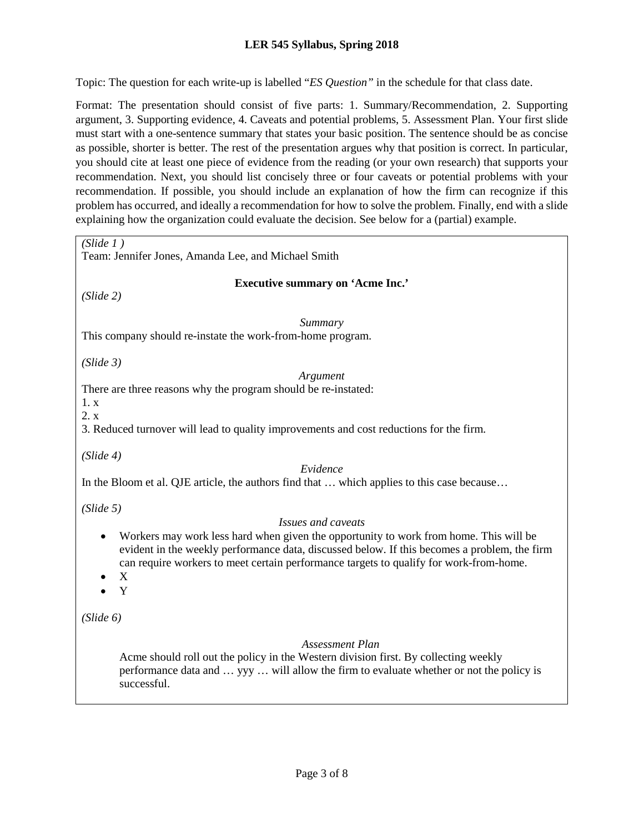#### **LER 545 Syllabus, Spring 2018**

Topic: The question for each write-up is labelled "*ES Question"* in the schedule for that class date.

Format: The presentation should consist of five parts: 1. Summary/Recommendation, 2. Supporting argument, 3. Supporting evidence, 4. Caveats and potential problems, 5. Assessment Plan. Your first slide must start with a one-sentence summary that states your basic position. The sentence should be as concise as possible, shorter is better. The rest of the presentation argues why that position is correct. In particular, you should cite at least one piece of evidence from the reading (or your own research) that supports your recommendation. Next, you should list concisely three or four caveats or potential problems with your recommendation. If possible, you should include an explanation of how the firm can recognize if this problem has occurred, and ideally a recommendation for how to solve the problem. Finally, end with a slide explaining how the organization could evaluate the decision. See below for a (partial) example.

| (Slide 1)<br>Team: Jennifer Jones, Amanda Lee, and Michael Smith                                                                                                                                                                                                                               |
|------------------------------------------------------------------------------------------------------------------------------------------------------------------------------------------------------------------------------------------------------------------------------------------------|
| <b>Executive summary on 'Acme Inc.'</b><br>(Slide 2)                                                                                                                                                                                                                                           |
| Summary<br>This company should re-instate the work-from-home program.                                                                                                                                                                                                                          |
| (Slide 3)<br>Argument<br>There are three reasons why the program should be re-instated:<br>1. x<br>2. x<br>3. Reduced turnover will lead to quality improvements and cost reductions for the firm.                                                                                             |
| (Slide 4)<br>Evidence<br>In the Bloom et al. QJE article, the authors find that  which applies to this case because                                                                                                                                                                            |
| (Slide 5)<br>Issues and caveats                                                                                                                                                                                                                                                                |
| Workers may work less hard when given the opportunity to work from home. This will be<br>٠<br>evident in the weekly performance data, discussed below. If this becomes a problem, the firm<br>can require workers to meet certain performance targets to qualify for work-from-home.<br>X<br>Y |
| (Slide 6)                                                                                                                                                                                                                                                                                      |
| Assessment Plan<br>Acme should roll out the policy in the Western division first. By collecting weekly<br>performance data and  yyy  will allow the firm to evaluate whether or not the policy is<br>successful.                                                                               |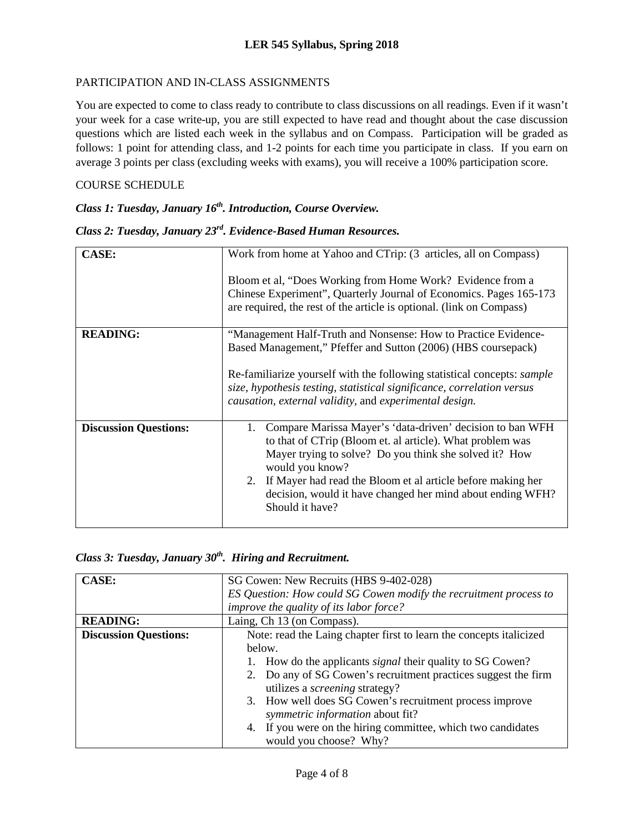#### PARTICIPATION AND IN-CLASS ASSIGNMENTS

You are expected to come to class ready to contribute to class discussions on all readings. Even if it wasn't your week for a case write-up, you are still expected to have read and thought about the case discussion questions which are listed each week in the syllabus and on Compass. Participation will be graded as follows: 1 point for attending class, and 1-2 points for each time you participate in class. If you earn on average 3 points per class (excluding weeks with exams), you will receive a 100% participation score.

#### COURSE SCHEDULE

### *Class 1: Tuesday, January 16th. Introduction, Course Overview.*

## *Class 2: Tuesday, January 23rd. Evidence-Based Human Resources.*

| <b>CASE:</b>                 | Work from home at Yahoo and CTrip: (3 articles, all on Compass)<br>Bloom et al, "Does Working from Home Work? Evidence from a<br>Chinese Experiment", Quarterly Journal of Economics. Pages 165-173                |
|------------------------------|--------------------------------------------------------------------------------------------------------------------------------------------------------------------------------------------------------------------|
|                              | are required, the rest of the article is optional. (link on Compass)                                                                                                                                               |
| <b>READING:</b>              | "Management Half-Truth and Nonsense: How to Practice Evidence-<br>Based Management," Pfeffer and Sutton (2006) (HBS coursepack)                                                                                    |
|                              | Re-familiarize yourself with the following statistical concepts: <i>sample</i><br>size, hypothesis testing, statistical significance, correlation versus<br>causation, external validity, and experimental design. |
| <b>Discussion Questions:</b> | Compare Marissa Mayer's 'data-driven' decision to ban WFH<br>1.<br>to that of CTrip (Bloom et. al article). What problem was<br>Mayer trying to solve? Do you think she solved it? How<br>would you know?          |
|                              | 2. If Mayer had read the Bloom et al article before making her<br>decision, would it have changed her mind about ending WFH?<br>Should it have?                                                                    |

|  |  |  |  |  |  |  | Class 3: Tuesday, January 30 <sup>th</sup> . Hiring and Recruitment. |
|--|--|--|--|--|--|--|----------------------------------------------------------------------|
|--|--|--|--|--|--|--|----------------------------------------------------------------------|

| <b>CASE:</b>                 | SG Cowen: New Recruits (HBS 9-402-028)                              |
|------------------------------|---------------------------------------------------------------------|
|                              | ES Question: How could SG Cowen modify the recruitment process to   |
|                              | improve the quality of its labor force?                             |
| <b>READING:</b>              | Laing, Ch 13 (on Compass).                                          |
| <b>Discussion Questions:</b> | Note: read the Laing chapter first to learn the concepts italicized |
|                              | below.                                                              |
|                              | How do the applicants <i>signal</i> their quality to SG Cowen?      |
|                              | 2. Do any of SG Cowen's recruitment practices suggest the firm      |
|                              | utilizes a <i>screening</i> strategy?                               |
|                              | 3. How well does SG Cowen's recruitment process improve             |
|                              | symmetric information about fit?                                    |
|                              | 4. If you were on the hiring committee, which two candidates        |
|                              | would you choose? Why?                                              |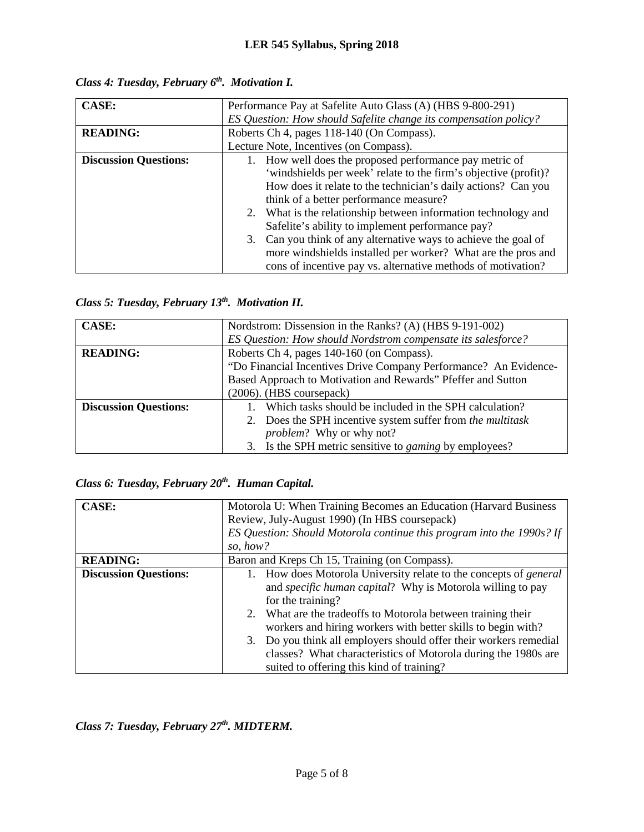| <b>CASE:</b>                 |                                                                  |  |  |
|------------------------------|------------------------------------------------------------------|--|--|
|                              | Performance Pay at Safelite Auto Glass (A) (HBS 9-800-291)       |  |  |
|                              | ES Question: How should Safelite change its compensation policy? |  |  |
| <b>READING:</b>              | Roberts Ch 4, pages 118-140 (On Compass).                        |  |  |
|                              | Lecture Note, Incentives (on Compass).                           |  |  |
| <b>Discussion Questions:</b> | 1. How well does the proposed performance pay metric of          |  |  |
|                              | 'windshields per week' relate to the firm's objective (profit)?  |  |  |
|                              | How does it relate to the technician's daily actions? Can you    |  |  |
|                              | think of a better performance measure?                           |  |  |
|                              | 2. What is the relationship between information technology and   |  |  |
|                              | Safelite's ability to implement performance pay?                 |  |  |
|                              | 3. Can you think of any alternative ways to achieve the goal of  |  |  |
|                              | more windshields installed per worker? What are the pros and     |  |  |
|                              | cons of incentive pay vs. alternative methods of motivation?     |  |  |

*Class 4: Tuesday, February 6th. Motivation I.*

*Class 5: Tuesday, February 13th. Motivation II.* 

| <b>CASE:</b>                 | Nordstrom: Dissension in the Ranks? (A) (HBS 9-191-002)          |
|------------------------------|------------------------------------------------------------------|
|                              | ES Question: How should Nordstrom compensate its salesforce?     |
| <b>READING:</b>              | Roberts Ch 4, pages 140-160 (on Compass).                        |
|                              | "Do Financial Incentives Drive Company Performance? An Evidence- |
|                              | Based Approach to Motivation and Rewards" Pfeffer and Sutton     |
|                              | $(2006)$ . (HBS coursepack)                                      |
| <b>Discussion Questions:</b> | Which tasks should be included in the SPH calculation?           |
|                              | 2. Does the SPH incentive system suffer from the multitask       |
|                              | <i>problem?</i> Why or why not?                                  |
|                              | 3. Is the SPH metric sensitive to <i>gaming</i> by employees?    |

# *Class 6: Tuesday, February 20th. Human Capital.*

| <b>CASE:</b>                 | Motorola U: When Training Becomes an Education (Harvard Business)     |  |  |
|------------------------------|-----------------------------------------------------------------------|--|--|
|                              | Review, July-August 1990) (In HBS coursepack)                         |  |  |
|                              | ES Question: Should Motorola continue this program into the 1990s? If |  |  |
|                              | so, how?                                                              |  |  |
| <b>READING:</b>              | Baron and Kreps Ch 15, Training (on Compass).                         |  |  |
| <b>Discussion Questions:</b> | How does Motorola University relate to the concepts of <i>general</i> |  |  |
|                              | and specific human capital? Why is Motorola willing to pay            |  |  |
|                              | for the training?                                                     |  |  |
|                              | 2. What are the tradeoffs to Motorola between training their          |  |  |
|                              | workers and hiring workers with better skills to begin with?          |  |  |
|                              | 3. Do you think all employers should offer their workers remedial     |  |  |
|                              | classes? What characteristics of Motorola during the 1980s are        |  |  |
|                              | suited to offering this kind of training?                             |  |  |

*Class 7: Tuesday, February 27th. MIDTERM.*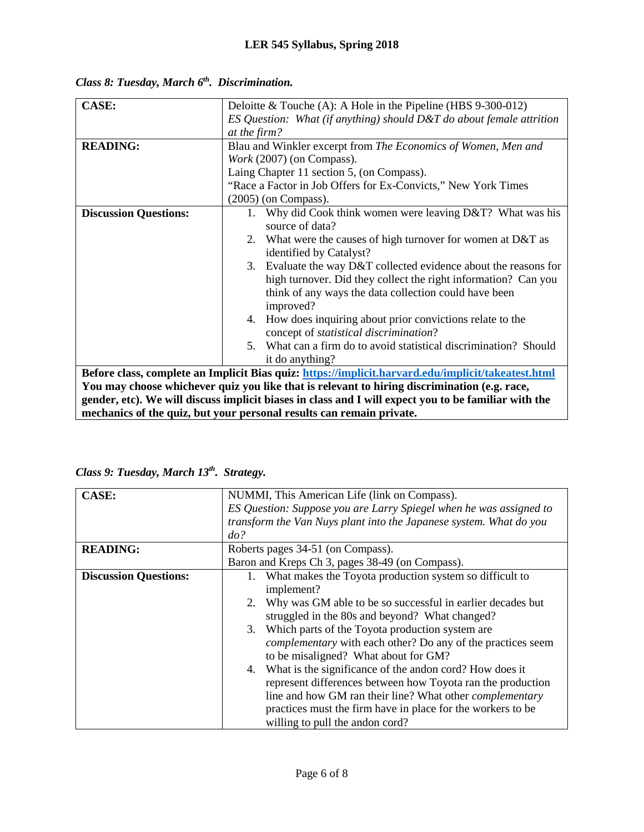| <b>CASE:</b>                 | Deloitte & Touche (A): A Hole in the Pipeline (HBS $9-300-012$ )                                     |
|------------------------------|------------------------------------------------------------------------------------------------------|
|                              | ES Question: What (if anything) should $D&T$ do about female attrition                               |
|                              | at the firm?                                                                                         |
| <b>READING:</b>              | Blau and Winkler excerpt from The Economics of Women, Men and                                        |
|                              | Work (2007) (on Compass).                                                                            |
|                              | Laing Chapter 11 section 5, (on Compass).                                                            |
|                              | "Race a Factor in Job Offers for Ex-Convicts," New York Times                                        |
|                              | $(2005)$ (on Compass).                                                                               |
| <b>Discussion Questions:</b> | Why did Cook think women were leaving D&T? What was his<br>$1_{-}$                                   |
|                              | source of data?                                                                                      |
|                              | 2. What were the causes of high turnover for women at D&T as                                         |
|                              | identified by Catalyst?                                                                              |
|                              | 3. Evaluate the way D&T collected evidence about the reasons for                                     |
|                              | high turnover. Did they collect the right information? Can you                                       |
|                              | think of any ways the data collection could have been                                                |
|                              | improved?                                                                                            |
|                              | 4. How does inquiring about prior convictions relate to the                                          |
|                              | concept of <i>statistical discrimination</i> ?                                                       |
|                              | 5. What can a firm do to avoid statistical discrimination? Should                                    |
|                              | it do anything?                                                                                      |
|                              | Before class, complete an Implicit Bias quiz: https://implicit.harvard.edu/implicit/takeatest.html   |
|                              | You may choose whichever quiz you like that is relevant to hiring discrimination (e.g. race,         |
|                              | gender, etc). We will discuss implicit biases in class and I will expect you to be familiar with the |
|                              | mechanics of the quiz, but your personal results can remain private.                                 |

*Class 8: Tuesday, March 6<sup>th</sup>. Discrimination.* 

|  | Class 9: Tuesday, March 13th. Strategy. |  |  |  |
|--|-----------------------------------------|--|--|--|
|--|-----------------------------------------|--|--|--|

| <b>CASE:</b>                 | NUMMI, This American Life (link on Compass).                       |
|------------------------------|--------------------------------------------------------------------|
|                              | ES Question: Suppose you are Larry Spiegel when he was assigned to |
|                              | transform the Van Nuys plant into the Japanese system. What do you |
|                              | do?                                                                |
| <b>READING:</b>              | Roberts pages 34-51 (on Compass).                                  |
|                              | Baron and Kreps Ch 3, pages 38-49 (on Compass).                    |
| <b>Discussion Questions:</b> | What makes the Toyota production system so difficult to            |
|                              | implement?                                                         |
|                              | Why was GM able to be so successful in earlier decades but<br>2.   |
|                              | struggled in the 80s and beyond? What changed?                     |
|                              | 3. Which parts of the Toyota production system are                 |
|                              | <i>complementary</i> with each other? Do any of the practices seem |
|                              | to be misaligned? What about for GM?                               |
|                              | 4. What is the significance of the andon cord? How does it         |
|                              | represent differences between how Toyota ran the production        |
|                              | line and how GM ran their line? What other <i>complementary</i>    |
|                              | practices must the firm have in place for the workers to be        |
|                              | willing to pull the andon cord?                                    |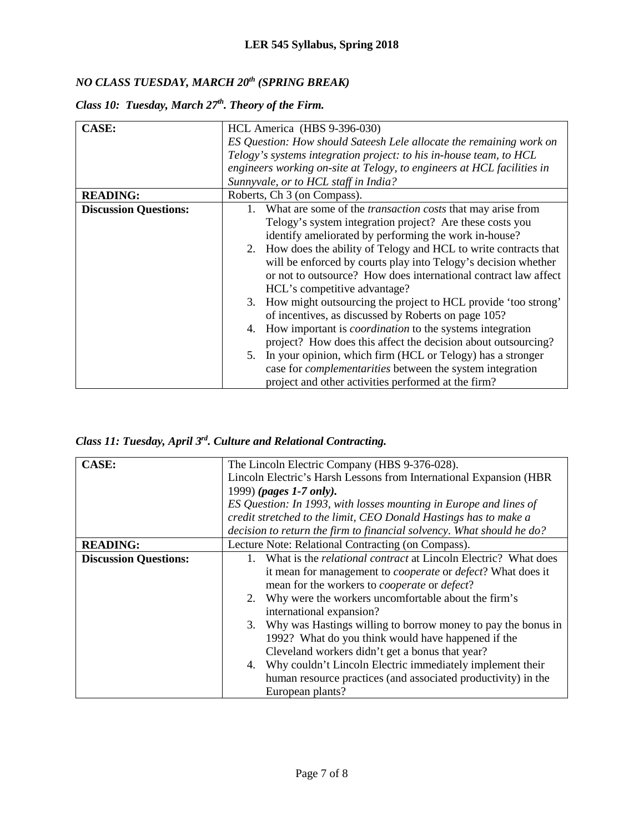# *NO CLASS TUESDAY, MARCH 20th (SPRING BREAK)*

|  |  | Class 10: Tuesday, March 27th. Theory of the Firm. |  |  |  |
|--|--|----------------------------------------------------|--|--|--|
|--|--|----------------------------------------------------|--|--|--|

| <b>CASE:</b>                 | HCL America (HBS 9-396-030)                                             |  |  |  |
|------------------------------|-------------------------------------------------------------------------|--|--|--|
|                              | ES Question: How should Sateesh Lele allocate the remaining work on     |  |  |  |
|                              | Telogy's systems integration project: to his in-house team, to HCL      |  |  |  |
|                              | engineers working on-site at Telogy, to engineers at HCL facilities in  |  |  |  |
|                              | Sunnyvale, or to HCL staff in India?                                    |  |  |  |
| <b>READING:</b>              | Roberts, Ch 3 (on Compass).                                             |  |  |  |
| <b>Discussion Questions:</b> | What are some of the <i>transaction costs</i> that may arise from<br>1. |  |  |  |
|                              | Telogy's system integration project? Are these costs you                |  |  |  |
|                              | identify ameliorated by performing the work in-house?                   |  |  |  |
|                              | 2. How does the ability of Telogy and HCL to write contracts that       |  |  |  |
|                              | will be enforced by courts play into Telogy's decision whether          |  |  |  |
|                              | or not to outsource? How does international contract law affect         |  |  |  |
|                              | HCL's competitive advantage?                                            |  |  |  |
|                              | 3. How might outsourcing the project to HCL provide 'too strong'        |  |  |  |
|                              | of incentives, as discussed by Roberts on page 105?                     |  |  |  |
|                              | How important is <i>coordination</i> to the systems integration<br>4.   |  |  |  |
|                              | project? How does this affect the decision about outsourcing?           |  |  |  |
|                              | In your opinion, which firm (HCL or Telogy) has a stronger              |  |  |  |
|                              | case for <i>complementarities</i> between the system integration        |  |  |  |
|                              | project and other activities performed at the firm?                     |  |  |  |

*Class 11: Tuesday, April 3rd. Culture and Relational Contracting.*

| <b>CASE:</b>                 | The Lincoln Electric Company (HBS 9-376-028).                              |  |  |  |  |
|------------------------------|----------------------------------------------------------------------------|--|--|--|--|
|                              | Lincoln Electric's Harsh Lessons from International Expansion (HBR)        |  |  |  |  |
|                              | 1999) (pages 1-7 only).                                                    |  |  |  |  |
|                              | ES Question: In 1993, with losses mounting in Europe and lines of          |  |  |  |  |
|                              | credit stretched to the limit, CEO Donald Hastings has to make a           |  |  |  |  |
|                              | decision to return the firm to financial solvency. What should he do?      |  |  |  |  |
| <b>READING:</b>              | Lecture Note: Relational Contracting (on Compass).                         |  |  |  |  |
| <b>Discussion Questions:</b> | What is the <i>relational contract</i> at Lincoln Electric? What does      |  |  |  |  |
|                              | it mean for management to <i>cooperate</i> or <i>defect</i> ? What does it |  |  |  |  |
|                              | mean for the workers to <i>cooperate</i> or <i>defect</i> ?                |  |  |  |  |
|                              | Why were the workers uncomfortable about the firm's<br>2.                  |  |  |  |  |
|                              | international expansion?                                                   |  |  |  |  |
|                              | 3. Why was Hastings willing to borrow money to pay the bonus in            |  |  |  |  |
|                              | 1992? What do you think would have happened if the                         |  |  |  |  |
|                              | Cleveland workers didn't get a bonus that year?                            |  |  |  |  |
|                              | Why couldn't Lincoln Electric immediately implement their<br>4.            |  |  |  |  |
|                              | human resource practices (and associated productivity) in the              |  |  |  |  |
|                              | European plants?                                                           |  |  |  |  |